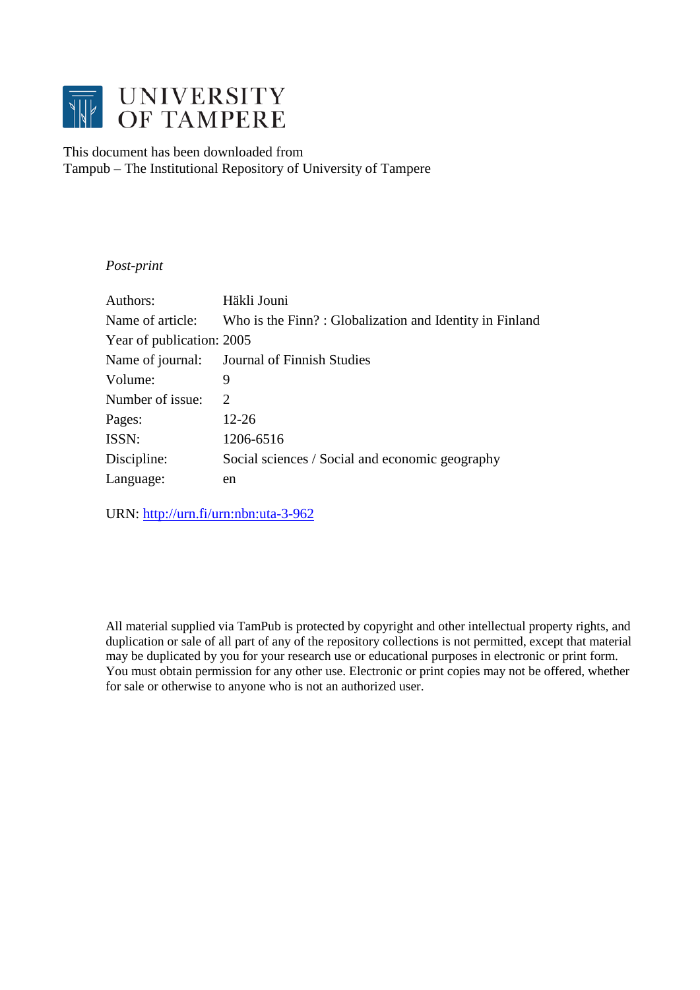

# This document has been downloaded from Tampub – The Institutional Repository of University of Tampere

## *Post-print*

| Authors:                  | Häkli Jouni                                             |
|---------------------------|---------------------------------------------------------|
| Name of article:          | Who is the Finn?: Globalization and Identity in Finland |
| Year of publication: 2005 |                                                         |
| Name of journal:          | Journal of Finnish Studies                              |
| Volume:                   | 9                                                       |
| Number of issue:          | $\mathcal{D}_{\mathcal{L}}$                             |
| Pages:                    | 12-26                                                   |
| ISSN:                     | 1206-6516                                               |
| Discipline:               | Social sciences / Social and economic geography         |
| Language:                 | en                                                      |
|                           |                                                         |

URN:<http://urn.fi/urn:nbn:uta-3-962>

All material supplied via TamPub is protected by copyright and other intellectual property rights, and duplication or sale of all part of any of the repository collections is not permitted, except that material may be duplicated by you for your research use or educational purposes in electronic or print form. You must obtain permission for any other use. Electronic or print copies may not be offered, whether for sale or otherwise to anyone who is not an authorized user.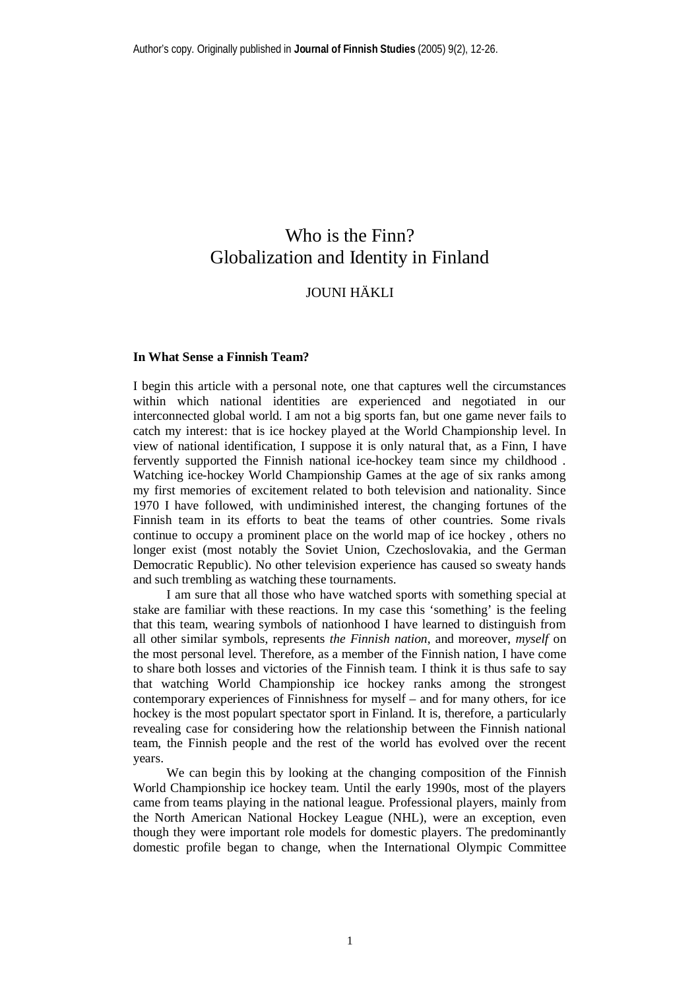# Who is the Finn? Globalization and Identity in Finland

# JOUNI HÄKLI

#### **In What Sense a Finnish Team?**

I begin this article with a personal note, one that captures well the circumstances within which national identities are experienced and negotiated in our interconnected global world. I am not a big sports fan, but one game never fails to catch my interest: that is ice hockey played at the World Championship level. In view of national identification, I suppose it is only natural that, as a Finn, I have fervently supported the Finnish national ice-hockey team since my childhood . Watching ice-hockey World Championship Games at the age of six ranks among my first memories of excitement related to both television and nationality. Since 1970 I have followed, with undiminished interest, the changing fortunes of the Finnish team in its efforts to beat the teams of other countries. Some rivals continue to occupy a prominent place on the world map of ice hockey , others no longer exist (most notably the Soviet Union, Czechoslovakia, and the German Democratic Republic). No other television experience has caused so sweaty hands and such trembling as watching these tournaments.

I am sure that all those who have watched sports with something special at stake are familiar with these reactions. In my case this 'something' is the feeling that this team, wearing symbols of nationhood I have learned to distinguish from all other similar symbols, represents *the Finnish nation*, and moreover, *myself* on the most personal level. Therefore, as a member of the Finnish nation, I have come to share both losses and victories of the Finnish team. I think it is thus safe to say that watching World Championship ice hockey ranks among the strongest contemporary experiences of Finnishness for myself – and for many others, for ice hockey is the most populart spectator sport in Finland. It is, therefore, a particularly revealing case for considering how the relationship between the Finnish national team, the Finnish people and the rest of the world has evolved over the recent years.

We can begin this by looking at the changing composition of the Finnish World Championship ice hockey team. Until the early 1990s, most of the players came from teams playing in the national league. Professional players, mainly from the North American National Hockey League (NHL), were an exception, even though they were important role models for domestic players. The predominantly domestic profile began to change, when the International Olympic Committee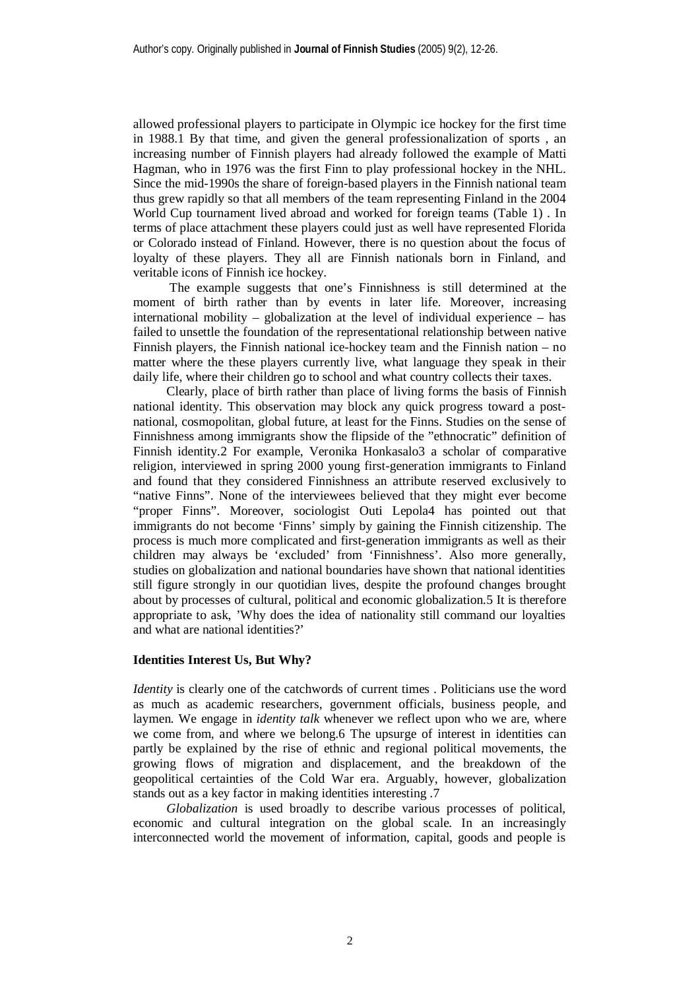allowed professional players to participate in Olympic ice hockey for the first time in 1988.1 By that time, and given the general professionalization of sports , an increasing number of Finnish players had already followed the example of Matti Hagman, who in 1976 was the first Finn to play professional hockey in the NHL. Since the mid-1990s the share of foreign-based players in the Finnish national team thus grew rapidly so that all members of the team representing Finland in the 2004 World Cup tournament lived abroad and worked for foreign teams (Table 1) . In terms of place attachment these players could just as well have represented Florida or Colorado instead of Finland. However, there is no question about the focus of loyalty of these players. They all are Finnish nationals born in Finland, and veritable icons of Finnish ice hockey.

 The example suggests that one's Finnishness is still determined at the moment of birth rather than by events in later life. Moreover, increasing international mobility – globalization at the level of individual experience – has failed to unsettle the foundation of the representational relationship between native Finnish players, the Finnish national ice-hockey team and the Finnish nation – no matter where the these players currently live, what language they speak in their daily life, where their children go to school and what country collects their taxes.

Clearly, place of birth rather than place of living forms the basis of Finnish national identity. This observation may block any quick progress toward a postnational, cosmopolitan, global future, at least for the Finns. Studies on the sense of Finnishness among immigrants show the flipside of the "ethnocratic" definition of Finnish identity.2 For example, Veronika Honkasalo3 a scholar of comparative religion, interviewed in spring 2000 young first-generation immigrants to Finland and found that they considered Finnishness an attribute reserved exclusively to "native Finns". None of the interviewees believed that they might ever become "proper Finns". Moreover, sociologist Outi Lepola4 has pointed out that immigrants do not become 'Finns' simply by gaining the Finnish citizenship. The process is much more complicated and first-generation immigrants as well as their children may always be 'excluded' from 'Finnishness'. Also more generally, studies on globalization and national boundaries have shown that national identities still figure strongly in our quotidian lives, despite the profound changes brought about by processes of cultural, political and economic globalization.5 It is therefore appropriate to ask, 'Why does the idea of nationality still command our loyalties and what are national identities?'

## **Identities Interest Us, But Why?**

*Identity* is clearly one of the catchwords of current times. Politicians use the word as much as academic researchers, government officials, business people, and laymen. We engage in *identity talk* whenever we reflect upon who we are, where we come from, and where we belong.6 The upsurge of interest in identities can partly be explained by the rise of ethnic and regional political movements, the growing flows of migration and displacement, and the breakdown of the geopolitical certainties of the Cold War era. Arguably, however, globalization stands out as a key factor in making identities interesting .7

*Globalization* is used broadly to describe various processes of political, economic and cultural integration on the global scale. In an increasingly interconnected world the movement of information, capital, goods and people is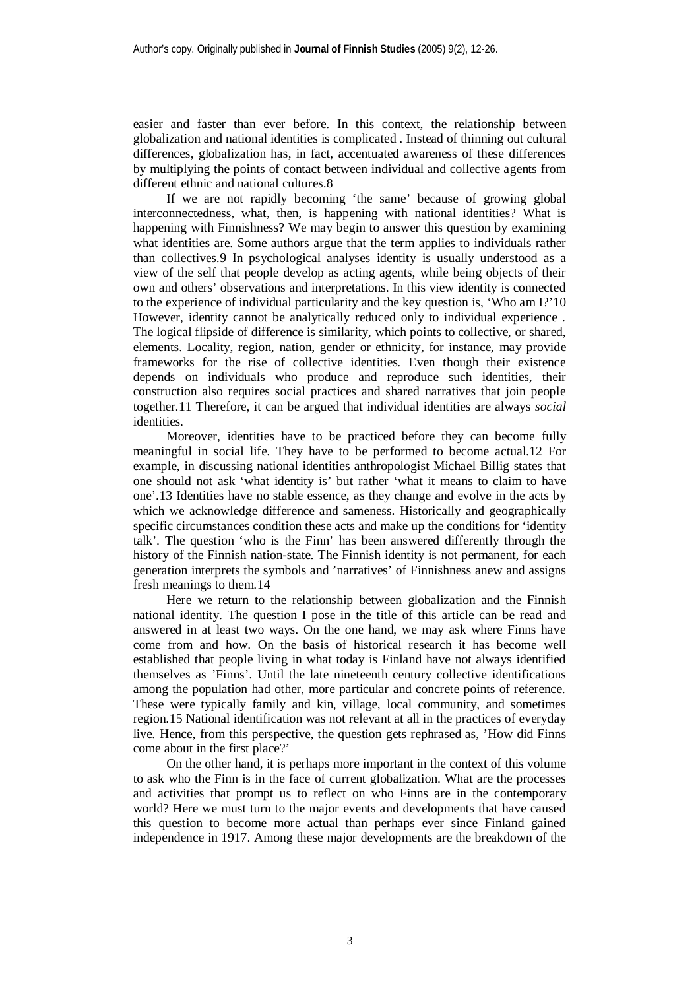easier and faster than ever before. In this context, the relationship between globalization and national identities is complicated . Instead of thinning out cultural differences, globalization has, in fact, accentuated awareness of these differences by multiplying the points of contact between individual and collective agents from different ethnic and national cultures.8

If we are not rapidly becoming 'the same' because of growing global interconnectedness, what, then, is happening with national identities? What is happening with Finnishness? We may begin to answer this question by examining what identities are. Some authors argue that the term applies to individuals rather than collectives.9 In psychological analyses identity is usually understood as a view of the self that people develop as acting agents, while being objects of their own and others' observations and interpretations. In this view identity is connected to the experience of individual particularity and the key question is, 'Who am I?'10 However, identity cannot be analytically reduced only to individual experience . The logical flipside of difference is similarity, which points to collective, or shared, elements. Locality, region, nation, gender or ethnicity, for instance, may provide frameworks for the rise of collective identities. Even though their existence depends on individuals who produce and reproduce such identities, their construction also requires social practices and shared narratives that join people together.11 Therefore, it can be argued that individual identities are always *social* identities.

Moreover, identities have to be practiced before they can become fully meaningful in social life. They have to be performed to become actual.12 For example, in discussing national identities anthropologist Michael Billig states that one should not ask 'what identity is' but rather 'what it means to claim to have one'.13 Identities have no stable essence, as they change and evolve in the acts by which we acknowledge difference and sameness. Historically and geographically specific circumstances condition these acts and make up the conditions for 'identity talk'. The question 'who is the Finn' has been answered differently through the history of the Finnish nation-state. The Finnish identity is not permanent, for each generation interprets the symbols and 'narratives' of Finnishness anew and assigns fresh meanings to them.14

Here we return to the relationship between globalization and the Finnish national identity. The question I pose in the title of this article can be read and answered in at least two ways. On the one hand, we may ask where Finns have come from and how. On the basis of historical research it has become well established that people living in what today is Finland have not always identified themselves as 'Finns'. Until the late nineteenth century collective identifications among the population had other, more particular and concrete points of reference. These were typically family and kin, village, local community, and sometimes region.15 National identification was not relevant at all in the practices of everyday live. Hence, from this perspective, the question gets rephrased as, 'How did Finns come about in the first place?'

On the other hand, it is perhaps more important in the context of this volume to ask who the Finn is in the face of current globalization. What are the processes and activities that prompt us to reflect on who Finns are in the contemporary world? Here we must turn to the major events and developments that have caused this question to become more actual than perhaps ever since Finland gained independence in 1917. Among these major developments are the breakdown of the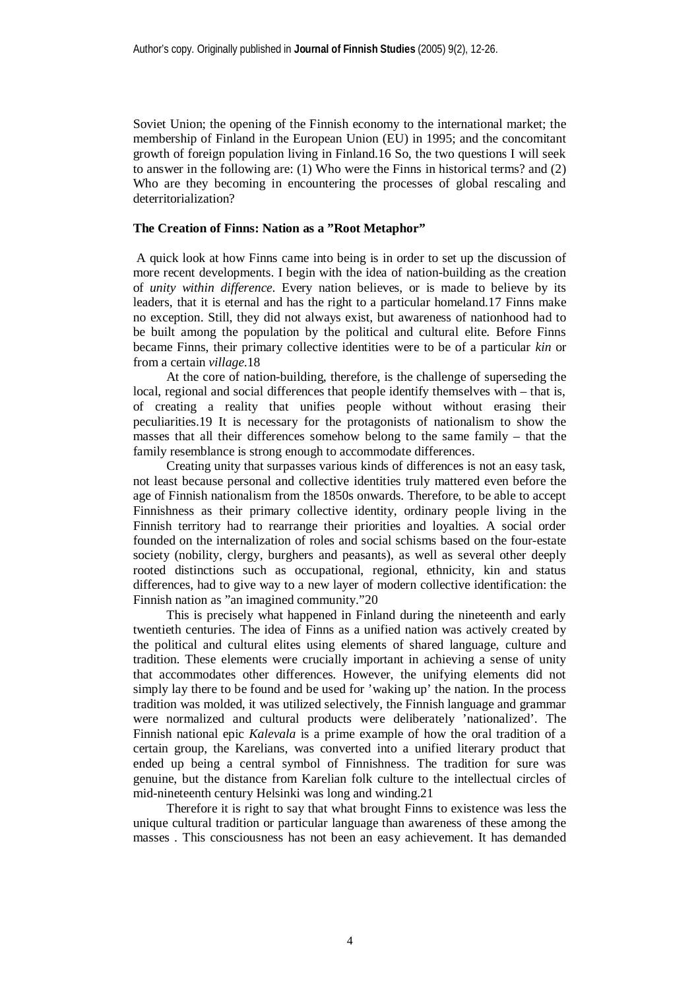Soviet Union; the opening of the Finnish economy to the international market; the membership of Finland in the European Union (EU) in 1995; and the concomitant growth of foreign population living in Finland.16 So, the two questions I will seek to answer in the following are: (1) Who were the Finns in historical terms? and (2) Who are they becoming in encountering the processes of global rescaling and deterritorialization?

#### **The Creation of Finns: Nation as a "Root Metaphor"**

 A quick look at how Finns came into being is in order to set up the discussion of more recent developments. I begin with the idea of nation-building as the creation of *unity within difference*. Every nation believes, or is made to believe by its leaders, that it is eternal and has the right to a particular homeland.17 Finns make no exception. Still, they did not always exist, but awareness of nationhood had to be built among the population by the political and cultural elite. Before Finns became Finns, their primary collective identities were to be of a particular *kin* or from a certain *village*.18

At the core of nation-building, therefore, is the challenge of superseding the local, regional and social differences that people identify themselves with – that is, of creating a reality that unifies people without without erasing their peculiarities.19 It is necessary for the protagonists of nationalism to show the masses that all their differences somehow belong to the same family – that the family resemblance is strong enough to accommodate differences.

Creating unity that surpasses various kinds of differences is not an easy task, not least because personal and collective identities truly mattered even before the age of Finnish nationalism from the 1850s onwards. Therefore, to be able to accept Finnishness as their primary collective identity, ordinary people living in the Finnish territory had to rearrange their priorities and loyalties. A social order founded on the internalization of roles and social schisms based on the four-estate society (nobility, clergy, burghers and peasants), as well as several other deeply rooted distinctions such as occupational, regional, ethnicity, kin and status differences, had to give way to a new layer of modern collective identification: the Finnish nation as "an imagined community."20

This is precisely what happened in Finland during the nineteenth and early twentieth centuries. The idea of Finns as a unified nation was actively created by the political and cultural elites using elements of shared language, culture and tradition. These elements were crucially important in achieving a sense of unity that accommodates other differences. However, the unifying elements did not simply lay there to be found and be used for 'waking up' the nation. In the process tradition was molded, it was utilized selectively, the Finnish language and grammar were normalized and cultural products were deliberately 'nationalized'. The Finnish national epic *Kalevala* is a prime example of how the oral tradition of a certain group, the Karelians, was converted into a unified literary product that ended up being a central symbol of Finnishness. The tradition for sure was genuine, but the distance from Karelian folk culture to the intellectual circles of mid-nineteenth century Helsinki was long and winding.21

Therefore it is right to say that what brought Finns to existence was less the unique cultural tradition or particular language than awareness of these among the masses . This consciousness has not been an easy achievement. It has demanded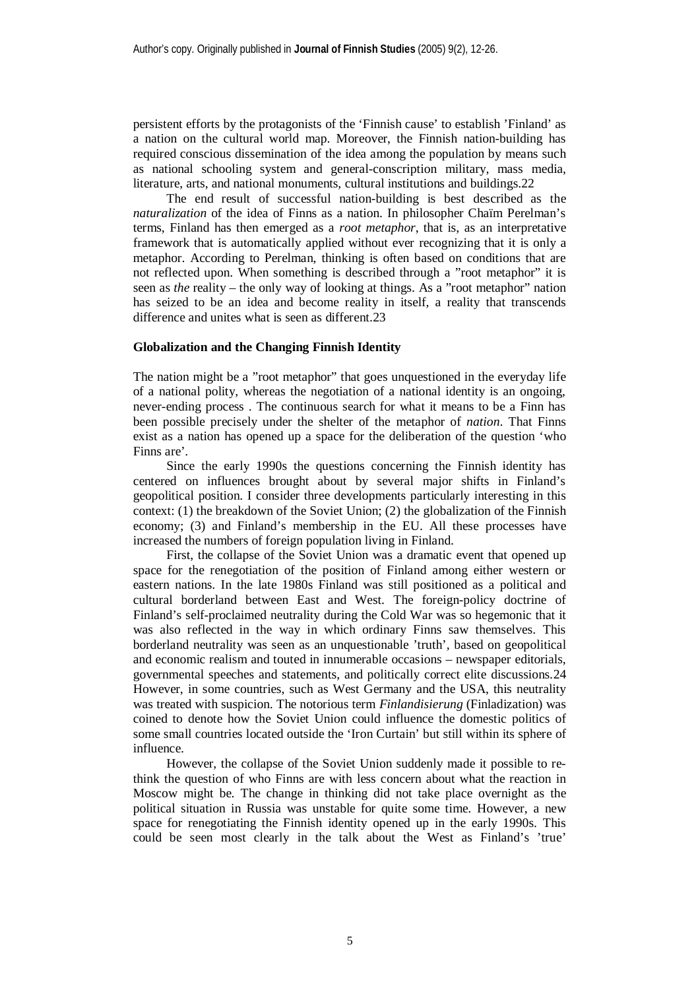persistent efforts by the protagonists of the 'Finnish cause' to establish 'Finland' as a nation on the cultural world map. Moreover, the Finnish nation-building has required conscious dissemination of the idea among the population by means such as national schooling system and general-conscription military, mass media, literature, arts, and national monuments, cultural institutions and buildings.22

The end result of successful nation-building is best described as the *naturalization* of the idea of Finns as a nation. In philosopher Chaïm Perelman's terms, Finland has then emerged as a *root metaphor*, that is, as an interpretative framework that is automatically applied without ever recognizing that it is only a metaphor. According to Perelman, thinking is often based on conditions that are not reflected upon. When something is described through a "root metaphor" it is seen as *the* reality – the only way of looking at things. As a "root metaphor" nation has seized to be an idea and become reality in itself, a reality that transcends difference and unites what is seen as different 23

#### **Globalization and the Changing Finnish Identity**

The nation might be a "root metaphor" that goes unquestioned in the everyday life of a national polity, whereas the negotiation of a national identity is an ongoing, never-ending process . The continuous search for what it means to be a Finn has been possible precisely under the shelter of the metaphor of *nation*. That Finns exist as a nation has opened up a space for the deliberation of the question 'who Finns are'.

Since the early 1990s the questions concerning the Finnish identity has centered on influences brought about by several major shifts in Finland's geopolitical position. I consider three developments particularly interesting in this context: (1) the breakdown of the Soviet Union; (2) the globalization of the Finnish economy; (3) and Finland's membership in the EU. All these processes have increased the numbers of foreign population living in Finland.

First, the collapse of the Soviet Union was a dramatic event that opened up space for the renegotiation of the position of Finland among either western or eastern nations. In the late 1980s Finland was still positioned as a political and cultural borderland between East and West. The foreign-policy doctrine of Finland's self-proclaimed neutrality during the Cold War was so hegemonic that it was also reflected in the way in which ordinary Finns saw themselves. This borderland neutrality was seen as an unquestionable 'truth', based on geopolitical and economic realism and touted in innumerable occasions – newspaper editorials, governmental speeches and statements, and politically correct elite discussions.24 However, in some countries, such as West Germany and the USA, this neutrality was treated with suspicion. The notorious term *Finlandisierung* (Finladization) was coined to denote how the Soviet Union could influence the domestic politics of some small countries located outside the 'Iron Curtain' but still within its sphere of influence.

However, the collapse of the Soviet Union suddenly made it possible to rethink the question of who Finns are with less concern about what the reaction in Moscow might be. The change in thinking did not take place overnight as the political situation in Russia was unstable for quite some time. However, a new space for renegotiating the Finnish identity opened up in the early 1990s. This could be seen most clearly in the talk about the West as Finland's 'true'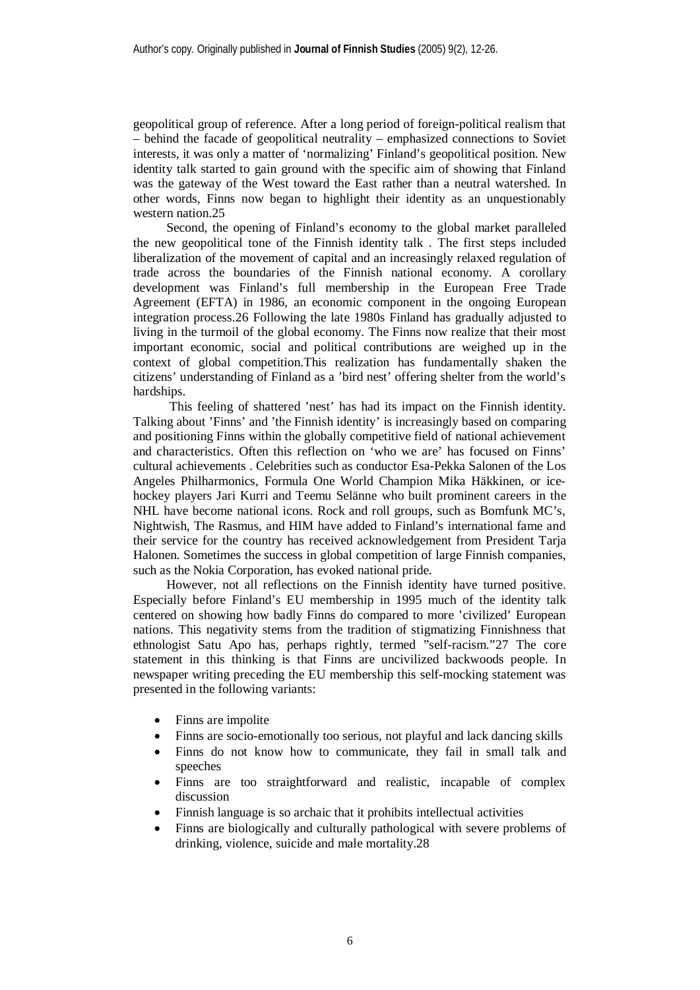geopolitical group of reference. After a long period of foreign-political realism that – behind the facade of geopolitical neutrality – emphasized connections to Soviet interests, it was only a matter of 'normalizing' Finland's geopolitical position. New identity talk started to gain ground with the specific aim of showing that Finland was the gateway of the West toward the East rather than a neutral watershed. In other words, Finns now began to highlight their identity as an unquestionably western nation.25

Second, the opening of Finland's economy to the global market paralleled the new geopolitical tone of the Finnish identity talk . The first steps included liberalization of the movement of capital and an increasingly relaxed regulation of trade across the boundaries of the Finnish national economy. A corollary development was Finland's full membership in the European Free Trade Agreement (EFTA) in 1986, an economic component in the ongoing European integration process.26 Following the late 1980s Finland has gradually adjusted to living in the turmoil of the global economy. The Finns now realize that their most important economic, social and political contributions are weighed up in the context of global competition.This realization has fundamentally shaken the citizens' understanding of Finland as a 'bird nest' offering shelter from the world's hardships.

 This feeling of shattered 'nest' has had its impact on the Finnish identity. Talking about 'Finns' and 'the Finnish identity' is increasingly based on comparing and positioning Finns within the globally competitive field of national achievement and characteristics. Often this reflection on 'who we are' has focused on Finns' cultural achievements . Celebrities such as conductor Esa-Pekka Salonen of the Los Angeles Philharmonics, Formula One World Champion Mika Häkkinen, or icehockey players Jari Kurri and Teemu Selänne who built prominent careers in the NHL have become national icons. Rock and roll groups, such as Bomfunk MC's, Nightwish, The Rasmus, and HIM have added to Finland's international fame and their service for the country has received acknowledgement from President Tarja Halonen. Sometimes the success in global competition of large Finnish companies, such as the Nokia Corporation, has evoked national pride.

However, not all reflections on the Finnish identity have turned positive. Especially before Finland's EU membership in 1995 much of the identity talk centered on showing how badly Finns do compared to more 'civilized' European nations. This negativity stems from the tradition of stigmatizing Finnishness that ethnologist Satu Apo has, perhaps rightly, termed "self-racism."27 The core statement in this thinking is that Finns are uncivilized backwoods people. In newspaper writing preceding the EU membership this self-mocking statement was presented in the following variants:

- Finns are impolite
- Finns are socio-emotionally too serious, not playful and lack dancing skills
- Finns do not know how to communicate, they fail in small talk and speeches
- Finns are too straightforward and realistic, incapable of complex discussion
- Finnish language is so archaic that it prohibits intellectual activities
- Finns are biologically and culturally pathological with severe problems of drinking, violence, suicide and male mortality.28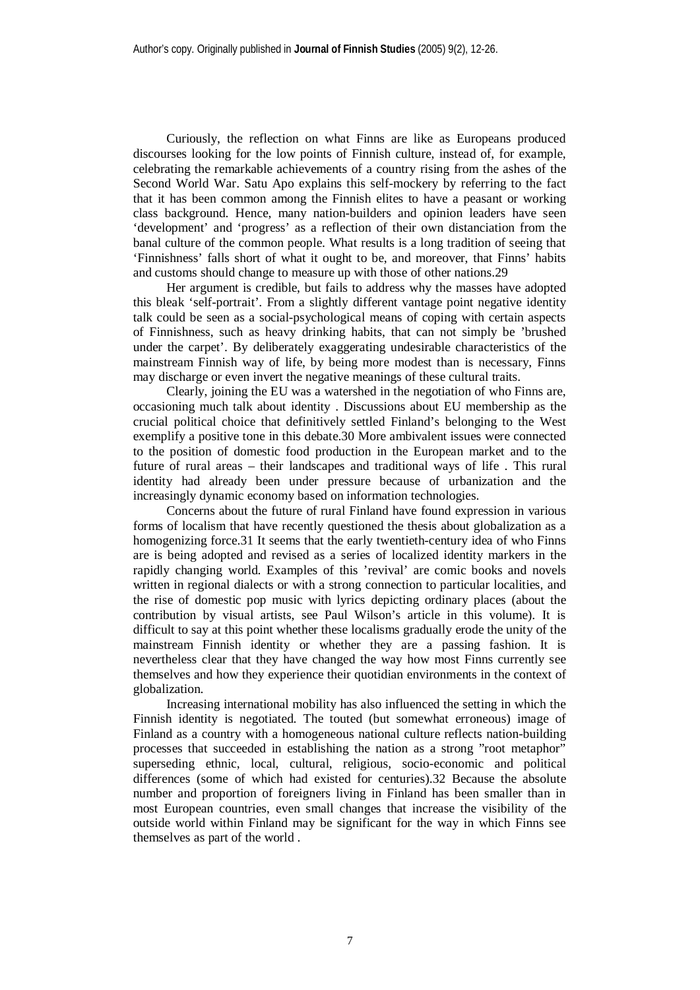Curiously, the reflection on what Finns are like as Europeans produced discourses looking for the low points of Finnish culture, instead of, for example, celebrating the remarkable achievements of a country rising from the ashes of the Second World War. Satu Apo explains this self-mockery by referring to the fact that it has been common among the Finnish elites to have a peasant or working class background. Hence, many nation-builders and opinion leaders have seen 'development' and 'progress' as a reflection of their own distanciation from the banal culture of the common people. What results is a long tradition of seeing that 'Finnishness' falls short of what it ought to be, and moreover, that Finns' habits and customs should change to measure up with those of other nations.29

Her argument is credible, but fails to address why the masses have adopted this bleak 'self-portrait'. From a slightly different vantage point negative identity talk could be seen as a social-psychological means of coping with certain aspects of Finnishness, such as heavy drinking habits, that can not simply be 'brushed under the carpet'. By deliberately exaggerating undesirable characteristics of the mainstream Finnish way of life, by being more modest than is necessary, Finns may discharge or even invert the negative meanings of these cultural traits.

Clearly, joining the EU was a watershed in the negotiation of who Finns are, occasioning much talk about identity . Discussions about EU membership as the crucial political choice that definitively settled Finland's belonging to the West exemplify a positive tone in this debate.30 More ambivalent issues were connected to the position of domestic food production in the European market and to the future of rural areas – their landscapes and traditional ways of life . This rural identity had already been under pressure because of urbanization and the increasingly dynamic economy based on information technologies.

Concerns about the future of rural Finland have found expression in various forms of localism that have recently questioned the thesis about globalization as a homogenizing force.31 It seems that the early twentieth-century idea of who Finns are is being adopted and revised as a series of localized identity markers in the rapidly changing world. Examples of this 'revival' are comic books and novels written in regional dialects or with a strong connection to particular localities, and the rise of domestic pop music with lyrics depicting ordinary places (about the contribution by visual artists, see Paul Wilson's article in this volume). It is difficult to say at this point whether these localisms gradually erode the unity of the mainstream Finnish identity or whether they are a passing fashion. It is nevertheless clear that they have changed the way how most Finns currently see themselves and how they experience their quotidian environments in the context of globalization.

Increasing international mobility has also influenced the setting in which the Finnish identity is negotiated. The touted (but somewhat erroneous) image of Finland as a country with a homogeneous national culture reflects nation-building processes that succeeded in establishing the nation as a strong "root metaphor" superseding ethnic, local, cultural, religious, socio-economic and political differences (some of which had existed for centuries).32 Because the absolute number and proportion of foreigners living in Finland has been smaller than in most European countries, even small changes that increase the visibility of the outside world within Finland may be significant for the way in which Finns see themselves as part of the world .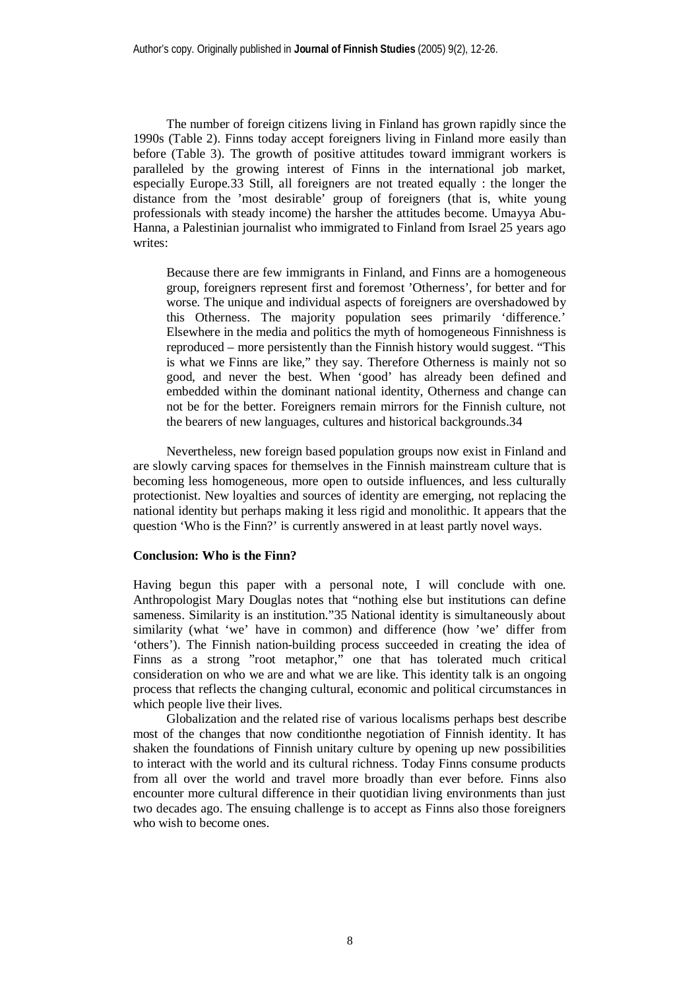The number of foreign citizens living in Finland has grown rapidly since the 1990s (Table 2). Finns today accept foreigners living in Finland more easily than before (Table 3). The growth of positive attitudes toward immigrant workers is paralleled by the growing interest of Finns in the international job market, especially Europe.33 Still, all foreigners are not treated equally : the longer the distance from the 'most desirable' group of foreigners (that is, white young professionals with steady income) the harsher the attitudes become. Umayya Abu-Hanna, a Palestinian journalist who immigrated to Finland from Israel 25 years ago writes:

Because there are few immigrants in Finland, and Finns are a homogeneous group, foreigners represent first and foremost 'Otherness', for better and for worse. The unique and individual aspects of foreigners are overshadowed by this Otherness. The majority population sees primarily 'difference.' Elsewhere in the media and politics the myth of homogeneous Finnishness is reproduced – more persistently than the Finnish history would suggest. "This is what we Finns are like," they say. Therefore Otherness is mainly not so good, and never the best. When 'good' has already been defined and embedded within the dominant national identity, Otherness and change can not be for the better. Foreigners remain mirrors for the Finnish culture, not the bearers of new languages, cultures and historical backgrounds.34

Nevertheless, new foreign based population groups now exist in Finland and are slowly carving spaces for themselves in the Finnish mainstream culture that is becoming less homogeneous, more open to outside influences, and less culturally protectionist. New loyalties and sources of identity are emerging, not replacing the national identity but perhaps making it less rigid and monolithic. It appears that the question 'Who is the Finn?' is currently answered in at least partly novel ways.

#### **Conclusion: Who is the Finn?**

Having begun this paper with a personal note, I will conclude with one. Anthropologist Mary Douglas notes that "nothing else but institutions can define sameness. Similarity is an institution."35 National identity is simultaneously about similarity (what 'we' have in common) and difference (how 'we' differ from 'others'). The Finnish nation-building process succeeded in creating the idea of Finns as a strong "root metaphor," one that has tolerated much critical consideration on who we are and what we are like. This identity talk is an ongoing process that reflects the changing cultural, economic and political circumstances in which people live their lives.

Globalization and the related rise of various localisms perhaps best describe most of the changes that now conditionthe negotiation of Finnish identity. It has shaken the foundations of Finnish unitary culture by opening up new possibilities to interact with the world and its cultural richness. Today Finns consume products from all over the world and travel more broadly than ever before. Finns also encounter more cultural difference in their quotidian living environments than just two decades ago. The ensuing challenge is to accept as Finns also those foreigners who wish to become ones.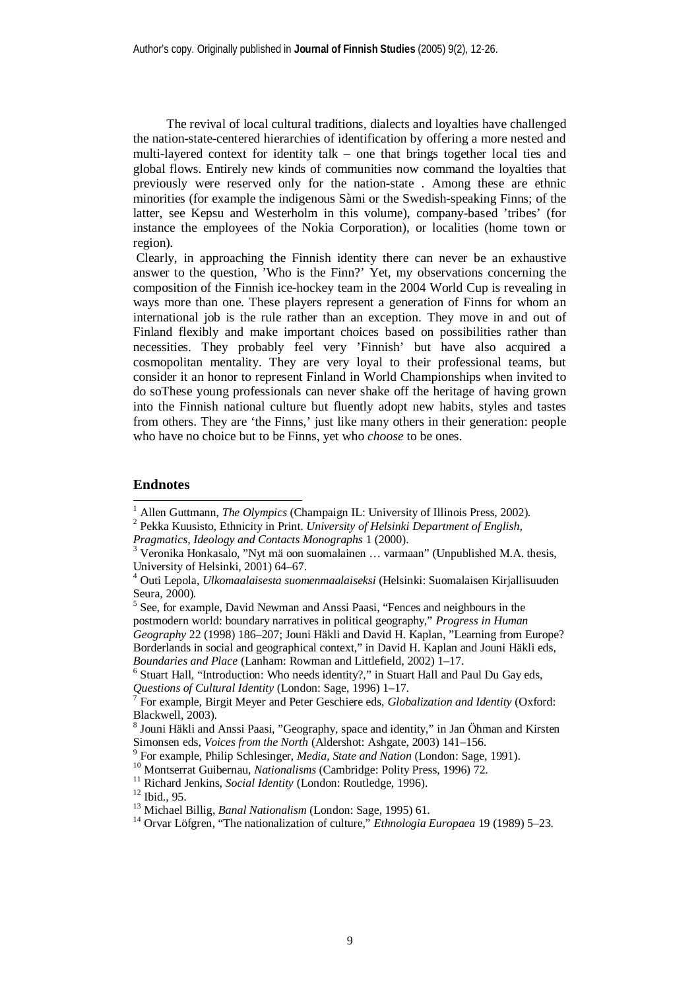The revival of local cultural traditions, dialects and loyalties have challenged the nation-state-centered hierarchies of identification by offering a more nested and multi-layered context for identity talk – one that brings together local ties and global flows. Entirely new kinds of communities now command the loyalties that previously were reserved only for the nation-state . Among these are ethnic minorities (for example the indigenous Sàmi or the Swedish-speaking Finns; of the latter, see Kepsu and Westerholm in this volume), company-based 'tribes' (for instance the employees of the Nokia Corporation), or localities (home town or region).

 Clearly, in approaching the Finnish identity there can never be an exhaustive answer to the question, 'Who is the Finn?' Yet, my observations concerning the composition of the Finnish ice-hockey team in the 2004 World Cup is revealing in ways more than one. These players represent a generation of Finns for whom an international job is the rule rather than an exception. They move in and out of Finland flexibly and make important choices based on possibilities rather than necessities. They probably feel very 'Finnish' but have also acquired a cosmopolitan mentality. They are very loyal to their professional teams, but consider it an honor to represent Finland in World Championships when invited to do soThese young professionals can never shake off the heritage of having grown into the Finnish national culture but fluently adopt new habits, styles and tastes from others. They are 'the Finns,' just like many others in their generation: people who have no choice but to be Finns, yet who *choose* to be ones.

## **Endnotes**

<sup>6</sup> Stuart Hall, "Introduction: Who needs identity?," in Stuart Hall and Paul Du Gay eds, *Questions of Cultural Identity* (London: Sage, 1996) 1–17.

<sup>1</sup> Allen Guttmann, *The Olympics* (Champaign IL: University of Illinois Press, 2002).

<sup>2</sup> Pekka Kuusisto, Ethnicity in Print. *University of Helsinki Department of English,*

*Pragmatics, Ideology and Contacts Monographs* 1 (2000).

<sup>&</sup>lt;sup>3</sup> Veronika Honkasalo, "Nyt mä oon suomalainen ... varmaan" (Unpublished M.A. thesis, University of Helsinki, 2001) 64–67.

<sup>4</sup> Outi Lepola, *Ulkomaalaisesta suomenmaalaiseksi* (Helsinki: Suomalaisen Kirjallisuuden Seura, 2000).

<sup>&</sup>lt;sup>5</sup> See, for example, David Newman and Anssi Paasi, "Fences and neighbours in the postmodern world: boundary narratives in political geography," *Progress in Human Geography* 22 (1998) 186–207; Jouni Häkli and David H. Kaplan, "Learning from Europe? Borderlands in social and geographical context," in David H. Kaplan and Jouni Häkli eds, *Boundaries and Place* (Lanham: Rowman and Littlefield, 2002) 1–17.

<sup>7</sup> For example, Birgit Meyer and Peter Geschiere eds, *Globalization and Identity* (Oxford: Blackwell, 2003).

<sup>&</sup>lt;sup>8</sup> Jouni Häkli and Anssi Paasi, "Geography, space and identity," in Jan Öhman and Kirsten Simonsen eds, *Voices from the North* (Aldershot: Ashgate, 2003) 141–156.

<sup>9</sup> For example, Philip Schlesinger, *Media, State and Nation* (London: Sage, 1991).

<sup>10</sup> Montserrat Guibernau, *Nationalisms* (Cambridge: Polity Press, 1996) 72.

<sup>&</sup>lt;sup>11</sup> Richard Jenkins, *Social Identity* (London: Routledge, 1996).

<sup>&</sup>lt;sup>12</sup> Ibid., 95.

<sup>13</sup> Michael Billig, *Banal Nationalism* (London: Sage, 1995) 61.

<sup>14</sup> Orvar Löfgren, "The nationalization of culture," *Ethnologia Europaea* 19 (1989) 5–23.